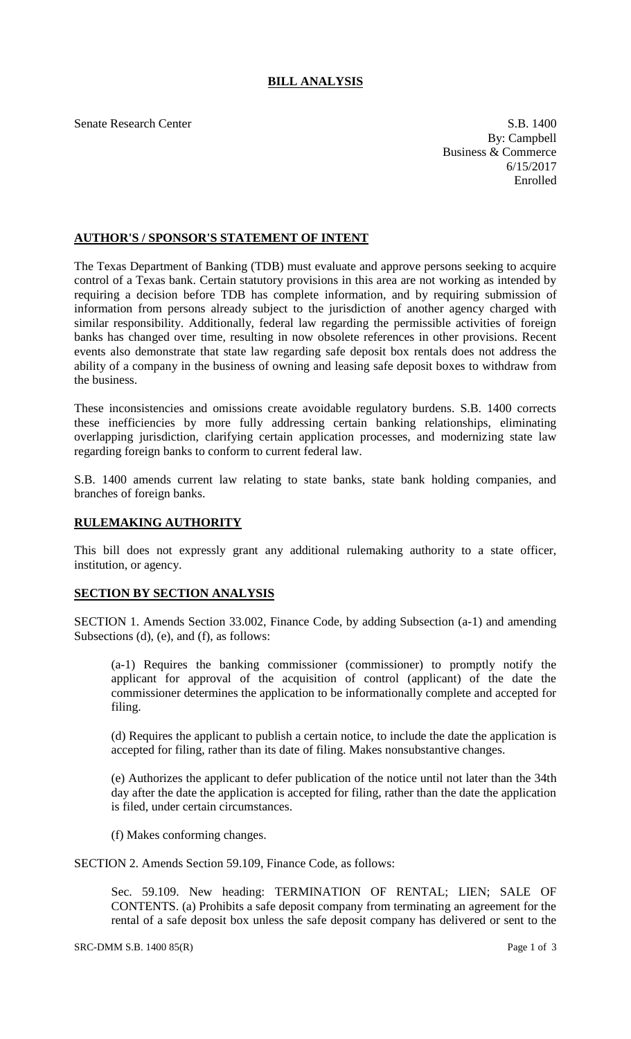## **BILL ANALYSIS**

Senate Research Center S.B. 1400 By: Campbell Business & Commerce 6/15/2017 Enrolled

## **AUTHOR'S / SPONSOR'S STATEMENT OF INTENT**

The Texas Department of Banking (TDB) must evaluate and approve persons seeking to acquire control of a Texas bank. Certain statutory provisions in this area are not working as intended by requiring a decision before TDB has complete information, and by requiring submission of information from persons already subject to the jurisdiction of another agency charged with similar responsibility. Additionally, federal law regarding the permissible activities of foreign banks has changed over time, resulting in now obsolete references in other provisions. Recent events also demonstrate that state law regarding safe deposit box rentals does not address the ability of a company in the business of owning and leasing safe deposit boxes to withdraw from the business.

These inconsistencies and omissions create avoidable regulatory burdens. S.B. 1400 corrects these inefficiencies by more fully addressing certain banking relationships, eliminating overlapping jurisdiction, clarifying certain application processes, and modernizing state law regarding foreign banks to conform to current federal law.

S.B. 1400 amends current law relating to state banks, state bank holding companies, and branches of foreign banks.

## **RULEMAKING AUTHORITY**

This bill does not expressly grant any additional rulemaking authority to a state officer, institution, or agency.

## **SECTION BY SECTION ANALYSIS**

SECTION 1. Amends Section 33.002, Finance Code, by adding Subsection (a-1) and amending Subsections (d), (e), and (f), as follows:

(a-1) Requires the banking commissioner (commissioner) to promptly notify the applicant for approval of the acquisition of control (applicant) of the date the commissioner determines the application to be informationally complete and accepted for filing.

(d) Requires the applicant to publish a certain notice, to include the date the application is accepted for filing, rather than its date of filing. Makes nonsubstantive changes.

(e) Authorizes the applicant to defer publication of the notice until not later than the 34th day after the date the application is accepted for filing, rather than the date the application is filed, under certain circumstances.

(f) Makes conforming changes.

SECTION 2. Amends Section 59.109, Finance Code, as follows:

Sec. 59.109. New heading: TERMINATION OF RENTAL; LIEN; SALE OF CONTENTS. (a) Prohibits a safe deposit company from terminating an agreement for the rental of a safe deposit box unless the safe deposit company has delivered or sent to the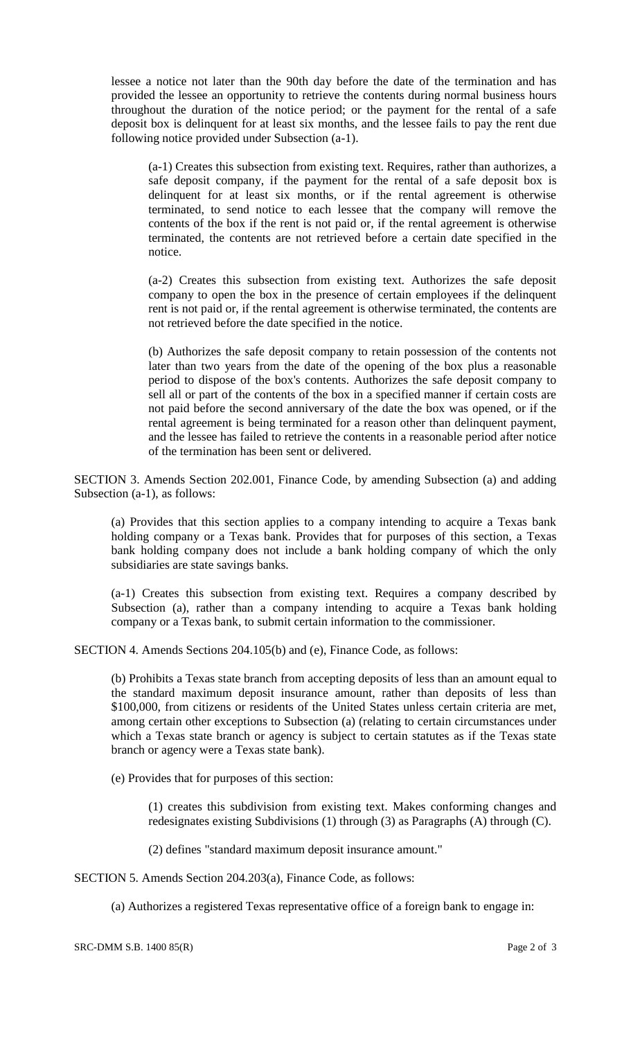lessee a notice not later than the 90th day before the date of the termination and has provided the lessee an opportunity to retrieve the contents during normal business hours throughout the duration of the notice period; or the payment for the rental of a safe deposit box is delinquent for at least six months, and the lessee fails to pay the rent due following notice provided under Subsection (a-1).

(a-1) Creates this subsection from existing text. Requires, rather than authorizes, a safe deposit company, if the payment for the rental of a safe deposit box is delinquent for at least six months, or if the rental agreement is otherwise terminated, to send notice to each lessee that the company will remove the contents of the box if the rent is not paid or, if the rental agreement is otherwise terminated, the contents are not retrieved before a certain date specified in the notice.

(a-2) Creates this subsection from existing text. Authorizes the safe deposit company to open the box in the presence of certain employees if the delinquent rent is not paid or, if the rental agreement is otherwise terminated, the contents are not retrieved before the date specified in the notice.

(b) Authorizes the safe deposit company to retain possession of the contents not later than two years from the date of the opening of the box plus a reasonable period to dispose of the box's contents. Authorizes the safe deposit company to sell all or part of the contents of the box in a specified manner if certain costs are not paid before the second anniversary of the date the box was opened, or if the rental agreement is being terminated for a reason other than delinquent payment, and the lessee has failed to retrieve the contents in a reasonable period after notice of the termination has been sent or delivered.

SECTION 3. Amends Section 202.001, Finance Code, by amending Subsection (a) and adding Subsection (a-1), as follows:

(a) Provides that this section applies to a company intending to acquire a Texas bank holding company or a Texas bank. Provides that for purposes of this section, a Texas bank holding company does not include a bank holding company of which the only subsidiaries are state savings banks.

(a-1) Creates this subsection from existing text. Requires a company described by Subsection (a), rather than a company intending to acquire a Texas bank holding company or a Texas bank, to submit certain information to the commissioner.

SECTION 4. Amends Sections 204.105(b) and (e), Finance Code, as follows:

(b) Prohibits a Texas state branch from accepting deposits of less than an amount equal to the standard maximum deposit insurance amount, rather than deposits of less than \$100,000, from citizens or residents of the United States unless certain criteria are met, among certain other exceptions to Subsection (a) (relating to certain circumstances under which a Texas state branch or agency is subject to certain statutes as if the Texas state branch or agency were a Texas state bank).

(e) Provides that for purposes of this section:

(1) creates this subdivision from existing text. Makes conforming changes and redesignates existing Subdivisions (1) through (3) as Paragraphs (A) through (C).

(2) defines "standard maximum deposit insurance amount."

SECTION 5. Amends Section 204.203(a), Finance Code, as follows:

(a) Authorizes a registered Texas representative office of a foreign bank to engage in: